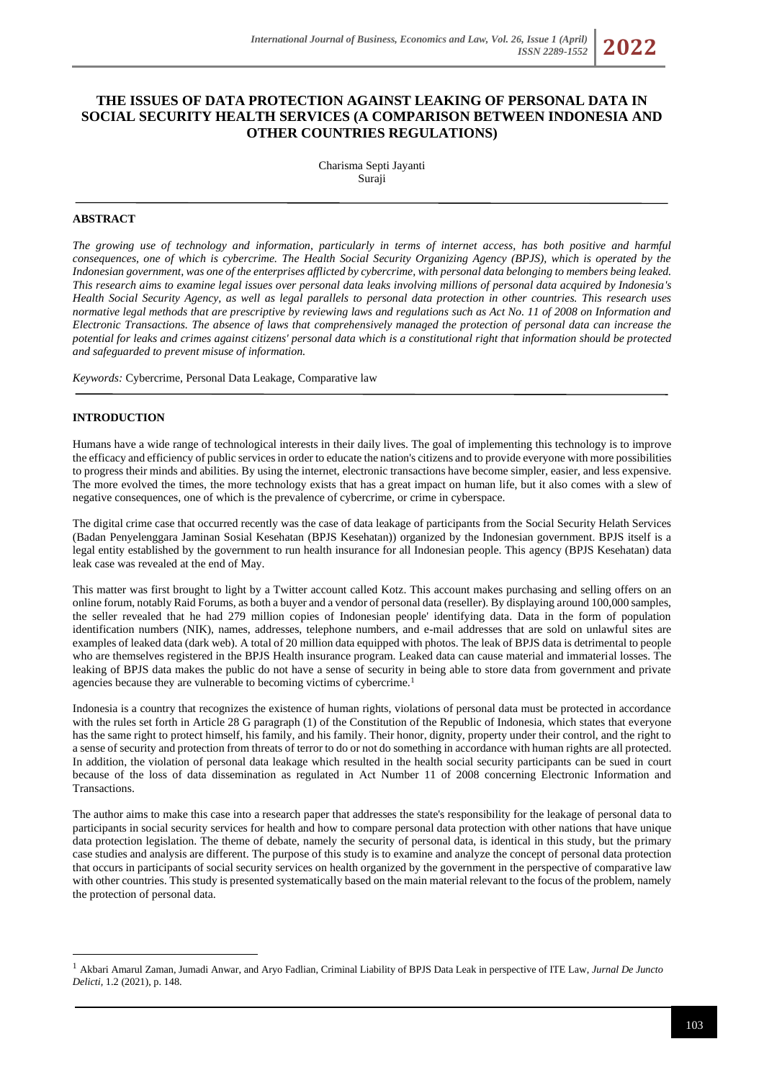# **THE ISSUES OF DATA PROTECTION AGAINST LEAKING OF PERSONAL DATA IN SOCIAL SECURITY HEALTH SERVICES (A COMPARISON BETWEEN INDONESIA AND OTHER COUNTRIES REGULATIONS)**

Charisma Septi Jayanti Suraji

### **ABSTRACT**

*The growing use of technology and information, particularly in terms of internet access, has both positive and harmful consequences, one of which is cybercrime. The Health Social Security Organizing Agency (BPJS), which is operated by the Indonesian government, was one of the enterprises afflicted by cybercrime, with personal data belonging to members being leaked. This research aims to examine legal issues over personal data leaks involving millions of personal data acquired by Indonesia's Health Social Security Agency, as well as legal parallels to personal data protection in other countries. This research uses normative legal methods that are prescriptive by reviewing laws and regulations such as Act No. 11 of 2008 on Information and Electronic Transactions. The absence of laws that comprehensively managed the protection of personal data can increase the potential for leaks and crimes against citizens' personal data which is a constitutional right that information should be protected and safeguarded to prevent misuse of information.*

*Keywords:* Cybercrime, Personal Data Leakage, Comparative law

### **INTRODUCTION**

Humans have a wide range of technological interests in their daily lives. The goal of implementing this technology is to improve the efficacy and efficiency of public services in order to educate the nation's citizens and to provide everyone with more possibilities to progress their minds and abilities. By using the internet, electronic transactions have become simpler, easier, and less expensive. The more evolved the times, the more technology exists that has a great impact on human life, but it also comes with a slew of negative consequences, one of which is the prevalence of cybercrime, or crime in cyberspace.

The digital crime case that occurred recently was the case of data leakage of participants from the Social Security Helath Services (Badan Penyelenggara Jaminan Sosial Kesehatan (BPJS Kesehatan)) organized by the Indonesian government. BPJS itself is a legal entity established by the government to run health insurance for all Indonesian people. This agency (BPJS Kesehatan) data leak case was revealed at the end of May.

This matter was first brought to light by a Twitter account called Kotz. This account makes purchasing and selling offers on an online forum, notably Raid Forums, as both a buyer and a vendor of personal data (reseller). By displaying around 100,000 samples, the seller revealed that he had 279 million copies of Indonesian people' identifying data. Data in the form of population identification numbers (NIK), names, addresses, telephone numbers, and e-mail addresses that are sold on unlawful sites are examples of leaked data (dark web). A total of 20 million data equipped with photos. The leak of BPJS data is detrimental to people who are themselves registered in the BPJS Health insurance program. Leaked data can cause material and immaterial losses. The leaking of BPJS data makes the public do not have a sense of security in being able to store data from government and private agencies because they are vulnerable to becoming victims of cybercrime.<sup>1</sup>

Indonesia is a country that recognizes the existence of human rights, violations of personal data must be protected in accordance with the rules set forth in Article 28 G paragraph (1) of the Constitution of the Republic of Indonesia, which states that everyone has the same right to protect himself, his family, and his family. Their honor, dignity, property under their control, and the right to a sense of security and protection from threats of terror to do or not do something in accordance with human rights are all protected. In addition, the violation of personal data leakage which resulted in the health social security participants can be sued in court because of the loss of data dissemination as regulated in Act Number 11 of 2008 concerning Electronic Information and Transactions.

The author aims to make this case into a research paper that addresses the state's responsibility for the leakage of personal data to participants in social security services for health and how to compare personal data protection with other nations that have unique data protection legislation. The theme of debate, namely the security of personal data, is identical in this study, but the primary case studies and analysis are different. The purpose of this study is to examine and analyze the concept of personal data protection that occurs in participants of social security services on health organized by the government in the perspective of comparative law with other countries. This study is presented systematically based on the main material relevant to the focus of the problem, namely the protection of personal data.

<sup>1</sup> Akbari Amarul Zaman, Jumadi Anwar, and Aryo Fadlian, Criminal Liability of BPJS Data Leak in perspective of ITE Law, *Jurnal De Juncto Delicti,* 1.2 (2021), p. 148.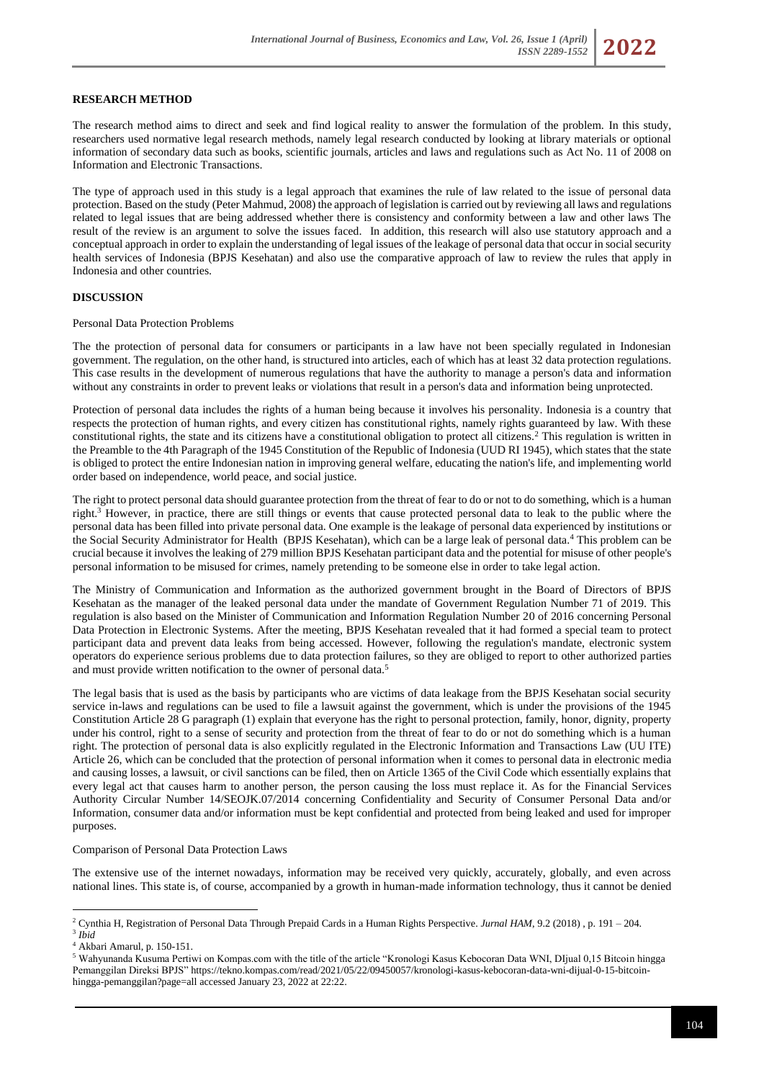#### **RESEARCH METHOD**

The research method aims to direct and seek and find logical reality to answer the formulation of the problem. In this study, researchers used normative legal research methods, namely legal research conducted by looking at library materials or optional information of secondary data such as books, scientific journals, articles and laws and regulations such as Act No. 11 of 2008 on Information and Electronic Transactions.

The type of approach used in this study is a legal approach that examines the rule of law related to the issue of personal data protection. Based on the study (Peter Mahmud, 2008) the approach of legislation is carried out by reviewing all laws and regulations related to legal issues that are being addressed whether there is consistency and conformity between a law and other laws The result of the review is an argument to solve the issues faced. In addition, this research will also use statutory approach and a conceptual approach in order to explain the understanding of legal issues of the leakage of personal data that occur in social security health services of Indonesia (BPJS Kesehatan) and also use the comparative approach of law to review the rules that apply in Indonesia and other countries.

#### **DISCUSSION**

Personal Data Protection Problems

The the protection of personal data for consumers or participants in a law have not been specially regulated in Indonesian government. The regulation, on the other hand, is structured into articles, each of which has at least 32 data protection regulations. This case results in the development of numerous regulations that have the authority to manage a person's data and information without any constraints in order to prevent leaks or violations that result in a person's data and information being unprotected.

Protection of personal data includes the rights of a human being because it involves his personality. Indonesia is a country that respects the protection of human rights, and every citizen has constitutional rights, namely rights guaranteed by law. With these constitutional rights, the state and its citizens have a constitutional obligation to protect all citizens.<sup>2</sup> This regulation is written in the Preamble to the 4th Paragraph of the 1945 Constitution of the Republic of Indonesia (UUD RI 1945), which states that the state is obliged to protect the entire Indonesian nation in improving general welfare, educating the nation's life, and implementing world order based on independence, world peace, and social justice.

The right to protect personal data should guarantee protection from the threat of fear to do or not to do something, which is a human right.<sup>3</sup> However, in practice, there are still things or events that cause protected personal data to leak to the public where the personal data has been filled into private personal data. One example is the leakage of personal data experienced by institutions or the Social Security Administrator for Health (BPJS Kesehatan), which can be a large leak of personal data.<sup>4</sup> This problem can be crucial because it involves the leaking of 279 million BPJS Kesehatan participant data and the potential for misuse of other people's personal information to be misused for crimes, namely pretending to be someone else in order to take legal action.

The Ministry of Communication and Information as the authorized government brought in the Board of Directors of BPJS Kesehatan as the manager of the leaked personal data under the mandate of Government Regulation Number 71 of 2019. This regulation is also based on the Minister of Communication and Information Regulation Number 20 of 2016 concerning Personal Data Protection in Electronic Systems. After the meeting, BPJS Kesehatan revealed that it had formed a special team to protect participant data and prevent data leaks from being accessed. However, following the regulation's mandate, electronic system operators do experience serious problems due to data protection failures, so they are obliged to report to other authorized parties and must provide written notification to the owner of personal data.<sup>5</sup>

The legal basis that is used as the basis by participants who are victims of data leakage from the BPJS Kesehatan social security service in-laws and regulations can be used to file a lawsuit against the government, which is under the provisions of the 1945 Constitution Article 28 G paragraph (1) explain that everyone has the right to personal protection, family, honor, dignity, property under his control, right to a sense of security and protection from the threat of fear to do or not do something which is a human right. The protection of personal data is also explicitly regulated in the Electronic Information and Transactions Law (UU ITE) Article 26, which can be concluded that the protection of personal information when it comes to personal data in electronic media and causing losses, a lawsuit, or civil sanctions can be filed, then on Article 1365 of the Civil Code which essentially explains that every legal act that causes harm to another person, the person causing the loss must replace it. As for the Financial Services Authority Circular Number 14/SEOJK.07/2014 concerning Confidentiality and Security of Consumer Personal Data and/or Information, consumer data and/or information must be kept confidential and protected from being leaked and used for improper purposes.

#### Comparison of Personal Data Protection Laws

The extensive use of the internet nowadays, information may be received very quickly, accurately, globally, and even across national lines. This state is, of course, accompanied by a growth in human-made information technology, thus it cannot be denied

<sup>2</sup> Cynthia H, Registration of Personal Data Through Prepaid Cards in a Human Rights Perspective. *Jurnal HAM*, 9.2 (2018) , p. 191 – 204. 3 *Ibid*

<sup>4</sup> Akbari Amarul, p. 150-151.

<sup>5</sup> Wahyunanda Kusuma Pertiwi on Kompas.com with the title of the article "Kronologi Kasus Kebocoran Data WNI, DIjual 0,15 Bitcoin hingga Pemanggilan Direksi BPJS" [https://tekno.kompas.com/read/2021/05/22/09450057/kronologi-kasus-kebocoran-data-wni-dijual-0-15-bitcoin](https://tekno.kompas.com/read/2021/05/22/09450057/kronologi-kasus-kebocoran-data-wni-dijual-0-15-bitcoin-hingga-pemanggilan?page=all)[hingga-pemanggilan?page=all](https://tekno.kompas.com/read/2021/05/22/09450057/kronologi-kasus-kebocoran-data-wni-dijual-0-15-bitcoin-hingga-pemanggilan?page=all) accessed January 23, 2022 at 22:22.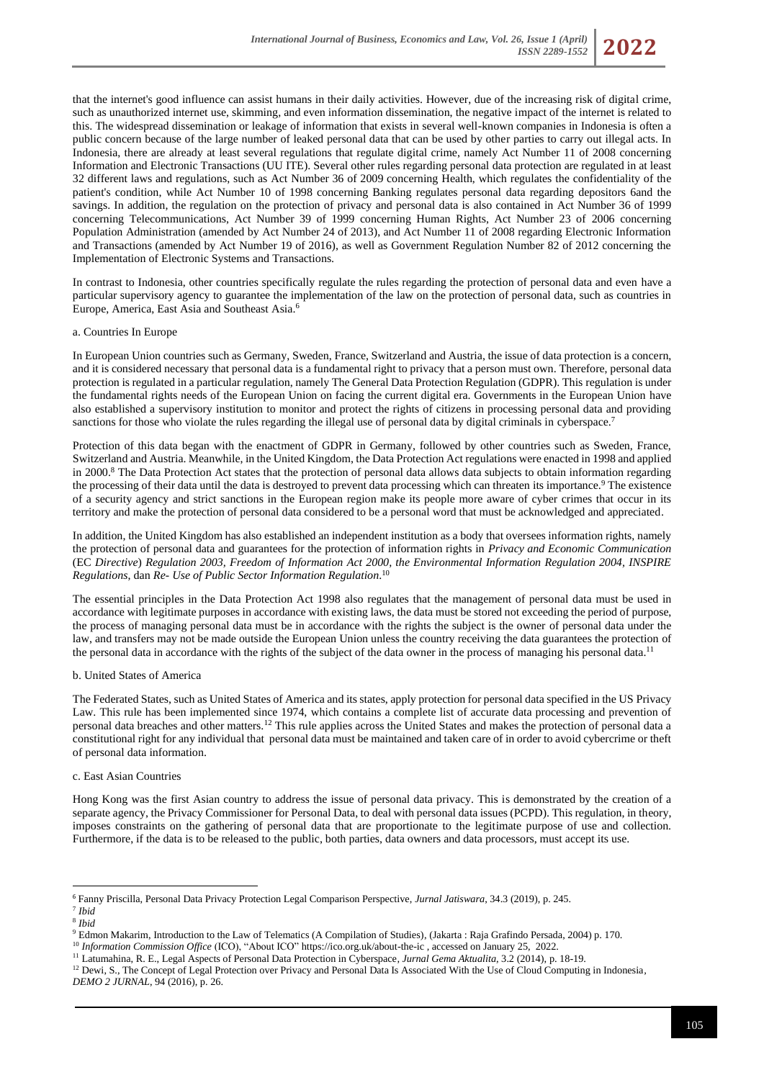

that the internet's good influence can assist humans in their daily activities. However, due of the increasing risk of digital crime, such as unauthorized internet use, skimming, and even information dissemination, the negative impact of the internet is related to this. The widespread dissemination or leakage of information that exists in several well-known companies in Indonesia is often a public concern because of the large number of leaked personal data that can be used by other parties to carry out illegal acts. In Indonesia, there are already at least several regulations that regulate digital crime, namely Act Number 11 of 2008 concerning Information and Electronic Transactions (UU ITE). Several other rules regarding personal data protection are regulated in at least 32 different laws and regulations, such as Act Number 36 of 2009 concerning Health, which regulates the confidentiality of the patient's condition, while Act Number 10 of 1998 concerning Banking regulates personal data regarding depositors 6and the savings. In addition, the regulation on the protection of privacy and personal data is also contained in Act Number 36 of 1999 concerning Telecommunications, Act Number 39 of 1999 concerning Human Rights, Act Number 23 of 2006 concerning Population Administration (amended by Act Number 24 of 2013), and Act Number 11 of 2008 regarding Electronic Information and Transactions (amended by Act Number 19 of 2016), as well as Government Regulation Number 82 of 2012 concerning the Implementation of Electronic Systems and Transactions.

In contrast to Indonesia, other countries specifically regulate the rules regarding the protection of personal data and even have a particular supervisory agency to guarantee the implementation of the law on the protection of personal data, such as countries in Europe, America, East Asia and Southeast Asia.<sup>6</sup>

### a. Countries In Europe

In European Union countries such as Germany, Sweden, France, Switzerland and Austria, the issue of data protection is a concern, and it is considered necessary that personal data is a fundamental right to privacy that a person must own. Therefore, personal data protection is regulated in a particular regulation, namely The General Data Protection Regulation (GDPR). This regulation is under the fundamental rights needs of the European Union on facing the current digital era. Governments in the European Union have also established a supervisory institution to monitor and protect the rights of citizens in processing personal data and providing sanctions for those who violate the rules regarding the illegal use of personal data by digital criminals in cyberspace.<sup>7</sup>

Protection of this data began with the enactment of GDPR in Germany, followed by other countries such as Sweden, France, Switzerland and Austria. Meanwhile, in the United Kingdom, the Data Protection Act regulations were enacted in 1998 and applied in 2000.<sup>8</sup> The Data Protection Act states that the protection of personal data allows data subjects to obtain information regarding the processing of their data until the data is destroyed to prevent data processing which can threaten its importance.<sup>9</sup> The existence of a security agency and strict sanctions in the European region make its people more aware of cyber crimes that occur in its territory and make the protection of personal data considered to be a personal word that must be acknowledged and appreciated.

In addition, the United Kingdom has also established an independent institution as a body that oversees information rights, namely the protection of personal data and guarantees for the protection of information rights in *Privacy and Economic Communication*  (EC *Directive*) *Regulation 2003, Freedom of Information Act 2000, the Environmental Information Regulation 2004, INSPIRE Regulations*, dan *Re- Use of Public Sector Information Regulation*. 10

The essential principles in the Data Protection Act 1998 also regulates that the management of personal data must be used in accordance with legitimate purposes in accordance with existing laws, the data must be stored not exceeding the period of purpose, the process of managing personal data must be in accordance with the rights the subject is the owner of personal data under the law, and transfers may not be made outside the European Union unless the country receiving the data guarantees the protection of the personal data in accordance with the rights of the subject of the data owner in the process of managing his personal data.<sup>11</sup>

#### b. United States of America

The Federated States, such as United States of America and its states, apply protection for personal data specified in the US Privacy Law. This rule has been implemented since 1974, which contains a complete list of accurate data processing and prevention of personal data breaches and other matters.<sup>12</sup> This rule applies across the United States and makes the protection of personal data a constitutional right for any individual that personal data must be maintained and taken care of in order to avoid cybercrime or theft of personal data information.

### c. East Asian Countries

Hong Kong was the first Asian country to address the issue of personal data privacy. This is demonstrated by the creation of a separate agency, the Privacy Commissioner for Personal Data, to deal with personal data issues (PCPD). This regulation, in theory, imposes constraints on the gathering of personal data that are proportionate to the legitimate purpose of use and collection. Furthermore, if the data is to be released to the public, both parties, data owners and data processors, must accept its use.

<sup>6</sup> Fanny Priscilla, Personal Data Privacy Protection Legal Comparison Perspective, *Jurnal Jatiswara*, 34.3 (2019), p. 245.

<sup>7</sup> *Ibid* 8 *Ibid*

<sup>9</sup> Edmon Makarim, Introduction to the Law of Telematics (A Compilation of Studies), (Jakarta : Raja Grafindo Persada, 2004) p. 170.

<sup>&</sup>lt;sup>10</sup> *Information Commission Office* (ICO), "About ICO"<https://ico.org.uk/about-the-ic> , accessed on January 25, 2022.

<sup>11</sup> Latumahina, R. E., Legal Aspects of Personal Data Protection in Cyberspace*, Jurnal Gema Aktualita*, 3.2 (2014), p. 18-19.

<sup>&</sup>lt;sup>12</sup> Dewi, S., The Concept of Legal Protection over Privacy and Personal Data Is Associated With the Use of Cloud Computing in Indonesia, *DEMO 2 JURNAL*, 94 (2016), p. 26.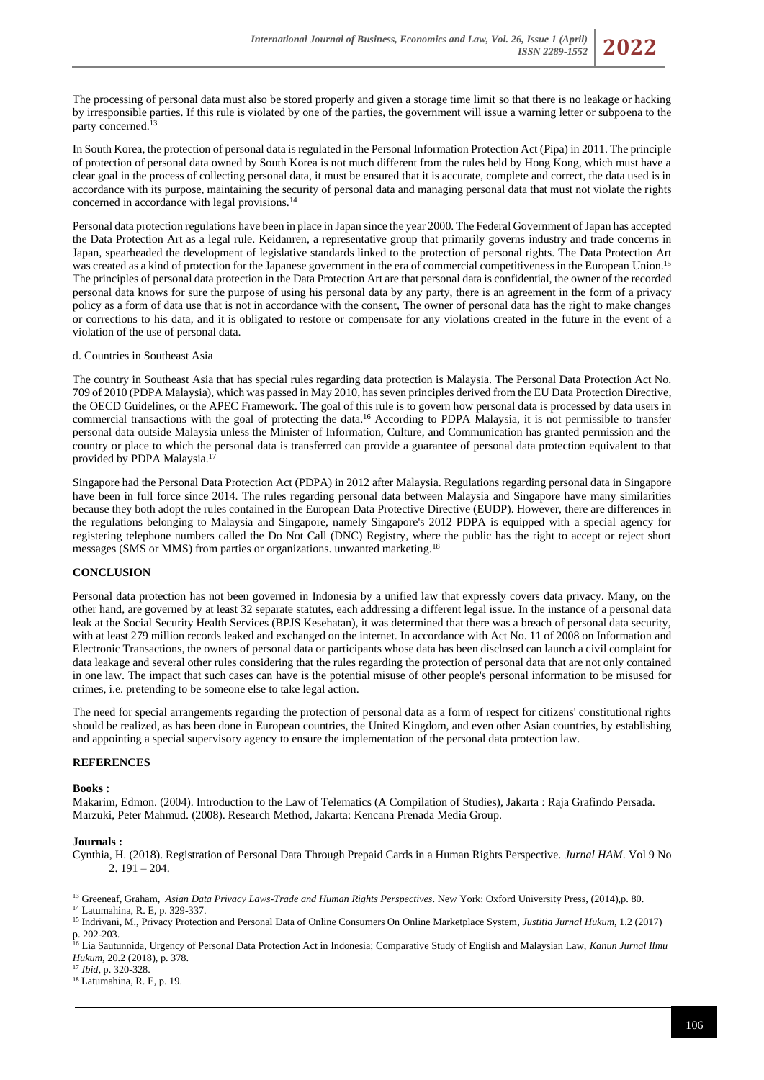The processing of personal data must also be stored properly and given a storage time limit so that there is no leakage or hacking by irresponsible parties. If this rule is violated by one of the parties, the government will issue a warning letter or subpoena to the party concerned.<sup>13</sup>

In South Korea, the protection of personal data is regulated in the Personal Information Protection Act (Pipa) in 2011. The principle of protection of personal data owned by South Korea is not much different from the rules held by Hong Kong, which must have a clear goal in the process of collecting personal data, it must be ensured that it is accurate, complete and correct, the data used is in accordance with its purpose, maintaining the security of personal data and managing personal data that must not violate the rights concerned in accordance with legal provisions.<sup>14</sup>

Personal data protection regulations have been in place in Japan since the year 2000. The Federal Government of Japan has accepted the Data Protection Art as a legal rule. Keidanren, a representative group that primarily governs industry and trade concerns in Japan, spearheaded the development of legislative standards linked to the protection of personal rights. The Data Protection Art was created as a kind of protection for the Japanese government in the era of commercial competitiveness in the European Union.<sup>15</sup> The principles of personal data protection in the Data Protection Art are that personal data is confidential, the owner of the recorded personal data knows for sure the purpose of using his personal data by any party, there is an agreement in the form of a privacy policy as a form of data use that is not in accordance with the consent, The owner of personal data has the right to make changes or corrections to his data, and it is obligated to restore or compensate for any violations created in the future in the event of a violation of the use of personal data.

### d. Countries in Southeast Asia

The country in Southeast Asia that has special rules regarding data protection is Malaysia. The Personal Data Protection Act No. 709 of 2010 (PDPA Malaysia), which was passed in May 2010, has seven principles derived from the EU Data Protection Directive, the OECD Guidelines, or the APEC Framework. The goal of this rule is to govern how personal data is processed by data users in commercial transactions with the goal of protecting the data. <sup>16</sup> According to PDPA Malaysia, it is not permissible to transfer personal data outside Malaysia unless the Minister of Information, Culture, and Communication has granted permission and the country or place to which the personal data is transferred can provide a guarantee of personal data protection equivalent to that provided by PDPA Malaysia. 17

Singapore had the Personal Data Protection Act (PDPA) in 2012 after Malaysia. Regulations regarding personal data in Singapore have been in full force since 2014. The rules regarding personal data between Malaysia and Singapore have many similarities because they both adopt the rules contained in the European Data Protective Directive (EUDP). However, there are differences in the regulations belonging to Malaysia and Singapore, namely Singapore's 2012 PDPA is equipped with a special agency for registering telephone numbers called the Do Not Call (DNC) Registry, where the public has the right to accept or reject short messages (SMS or MMS) from parties or organizations. unwanted marketing.<sup>18</sup>

## **CONCLUSION**

Personal data protection has not been governed in Indonesia by a unified law that expressly covers data privacy. Many, on the other hand, are governed by at least 32 separate statutes, each addressing a different legal issue. In the instance of a personal data leak at the Social Security Health Services (BPJS Kesehatan), it was determined that there was a breach of personal data security, with at least 279 million records leaked and exchanged on the internet. In accordance with Act No. 11 of 2008 on Information and Electronic Transactions, the owners of personal data or participants whose data has been disclosed can launch a civil complaint for data leakage and several other rules considering that the rules regarding the protection of personal data that are not only contained in one law. The impact that such cases can have is the potential misuse of other people's personal information to be misused for crimes, i.e. pretending to be someone else to take legal action.

The need for special arrangements regarding the protection of personal data as a form of respect for citizens' constitutional rights should be realized, as has been done in European countries, the United Kingdom, and even other Asian countries, by establishing and appointing a special supervisory agency to ensure the implementation of the personal data protection law.

#### **REFERENCES**

#### **Books :**

Makarim, Edmon. (2004). Introduction to the Law of Telematics (A Compilation of Studies), Jakarta : Raja Grafindo Persada. Marzuki, Peter Mahmud. (2008). Research Method, Jakarta: Kencana Prenada Media Group.

#### **Journals :**

Cynthia, H. (2018). Registration of Personal Data Through Prepaid Cards in a Human Rights Perspective. *Jurnal HAM*. Vol 9 No 2. 191 – 204.

<sup>&</sup>lt;sup>13</sup> Greeneaf, Graham, Asian Data Privacy Laws-Trade and Human Rights Perspectives. New York: Oxford University Press, (2014),p. 80.

<sup>14</sup> Latumahina, R. E, p. 329-337.

<sup>15</sup> Indriyani, M., Privacy Protection and Personal Data of Online Consumers On Online Marketplace System, *Justitia Jurnal Hukum*, 1.2 (2017) p. 202-203.

<sup>16</sup> Lia Sautunnida, Urgency of Personal Data Protection Act in Indonesia; Comparative Study of English and Malaysian Law, *Kanun Jurnal Ilmu Hukum*, 20.2 (2018), p. 378.

<sup>17</sup> *Ibid,* p. 320-328.

<sup>18</sup> Latumahina, R. E, p. 19.